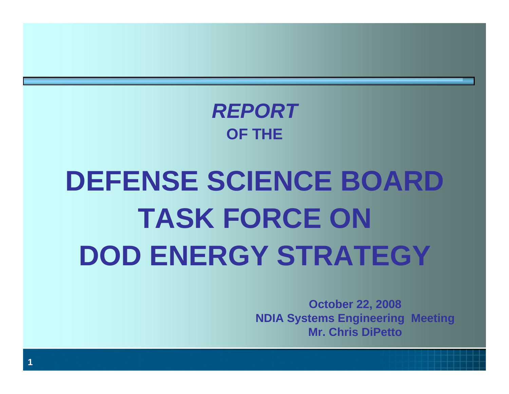### *REPORT***OF THE**

# **DEFENSE SCIENCE BOARD TASK FORCE ON DOD ENERGY STRATEGY**

**October 22, 2008 NDIA Systems Engineering Meeting Mr. Chris DiPetto**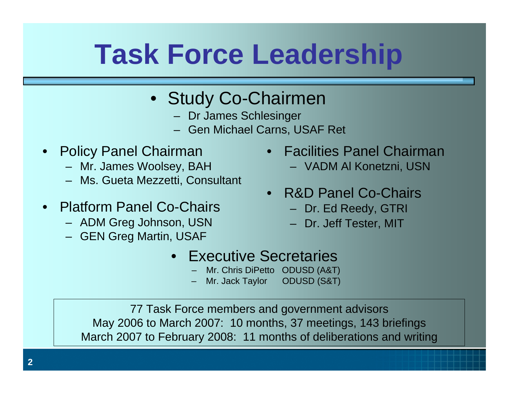# **Task Force Leadership**

- Study Co-Chairmen
	- Dr James Schlesinger
	- Gen Michael Carns, USAF Ret
- • Policy Panel Chairman
	- Mr. James Woolsey, BAH
	- Ms. Gueta Mezzetti, Consultant
- Platform Panel Co-Chairs
	- ADM Greg Johnson, USN
	- GEN Greg Martin, USAF
- Facilities Panel Chairman
	- VADM Al Konetzni, USN
- R&D Panel Co-Chairs
	- Dr. Ed Reedy, GTRI
	- Dr. Jeff Tester, MIT
- Executive Secretaries
	- Mr. Chris DiPetto ODUSD (A&T)
	- Mr. Jack Taylor ODUSD (S&T)

77 Task Force members and government advisors May 2006 to March 2007: 10 months, 37 meetings, 143 briefings March 2007 to February 2008: 11 months of deliberations and writing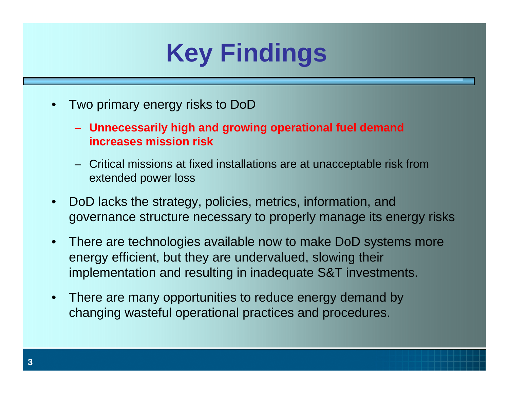# **Key Findings**

- • Two primary energy risks to DoD
	- **Unnecessarily high and growing operational fuel demand increases mission risk**
	- Critical missions at fixed installations are at unacceptable risk from extended power loss
- • DoD lacks the strategy, policies, metrics, information, and governance structure necessary to properly manage its energy risks
- $\bullet$  There are technologies available now to make DoD systems more energy efficient, but they are undervalued, slowing their implementation and resulting in inadequate S&T investments.
- $\bullet$  There are many opportunities to reduce energy demand by changing wasteful operational practices and procedures.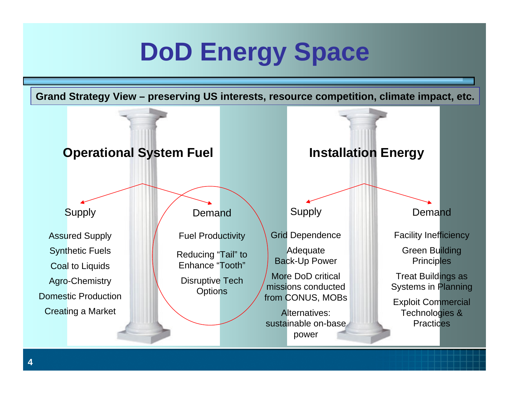# **DoD Energy Space**

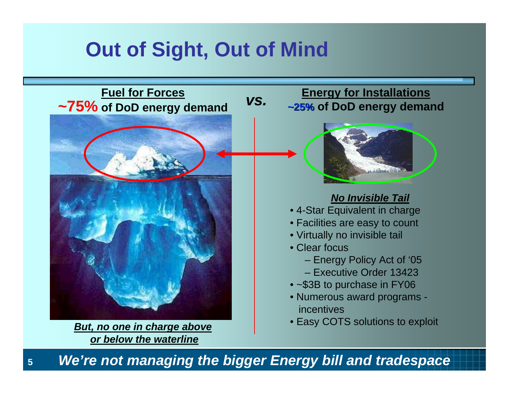## **Out of Sight, Out of Mind**



*We're not managing the bigger Energy bill and tradespace* 

**5**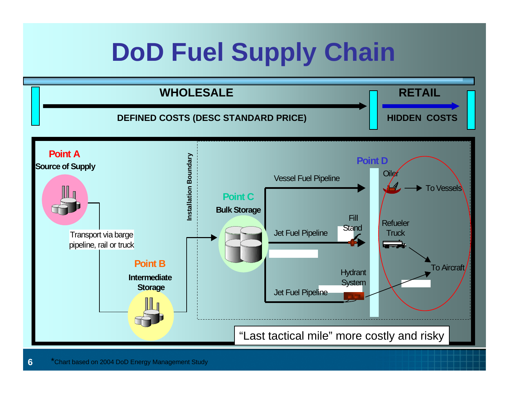# **DoD Fuel Supply Chain**

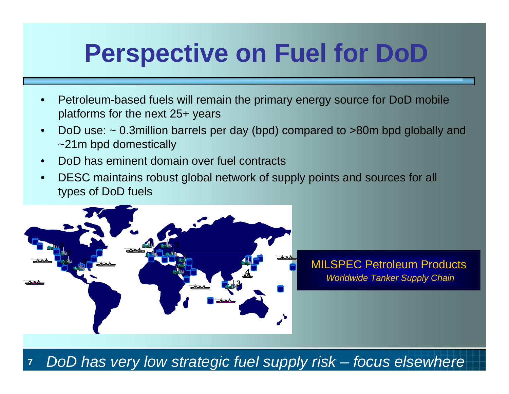# **Perspective on Fuel for DoD**

- • Petroleum-based fuels will remain the primary energy source for DoD mobile platforms for the next 25+ years
- • DoD use: ~ 0.3million barrels per day (bpd) compared to >80m bpd globally and ~21m bpd domestically
- •DoD has eminent domain over fuel contracts
- • DESC maintains robust global network of supply points and sources for all types of DoD fuels



**7***DoD has very low strategic fuel supply risk – focus elsewhere*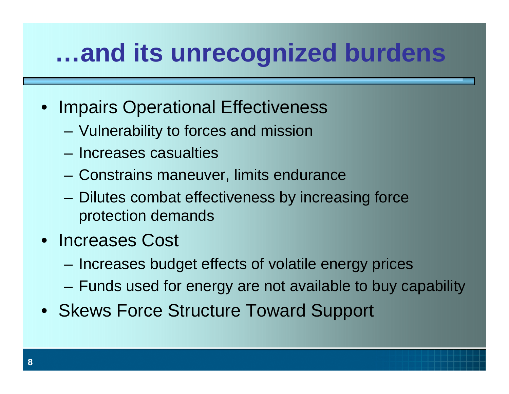# **…and its unrecognized burdens**

- Impairs Operational Effectiveness
	- –Vulnerability to forces and mission
	- Increases casualties
	- –Constrains maneuver, limits endurance
	- – Dilutes combat effectiveness by increasing force protection demands
- Increases Cost
	- **Harry Committee** Increases budget effects of volatile energy prices
	- **Harry Committee** Funds used for energy are not available to buy capability
- Skews Force Structure Toward Support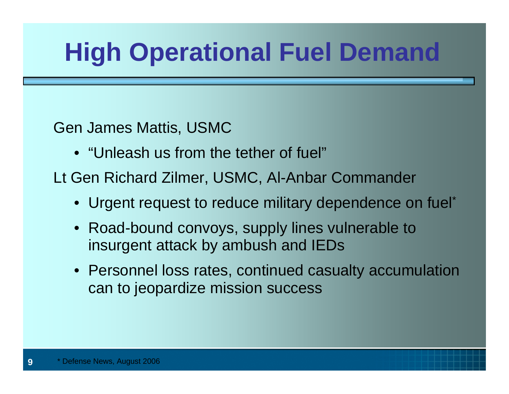# **High Operational Fuel Demand**

Gen James Mattis, USMC

• "Unleash us from the tether of fuel"

Lt Gen Richard Zilmer, USMC, Al-Anbar Commander

- Urgent request to reduce military dependence on fuel\*
- Road-bound convoys, supply lines vulnerable to insurgent attack by ambush and IEDs
- Personnel loss rates, continued casualty accumulation can to jeopardize mission success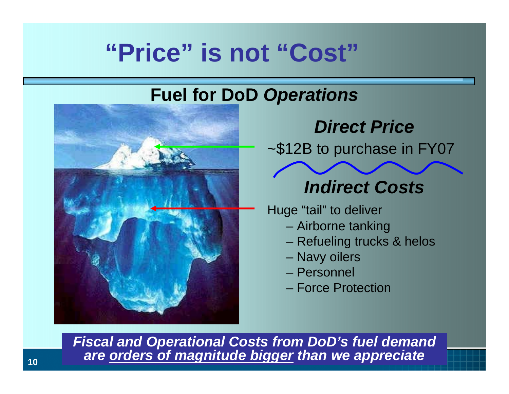## **"Price" is not "Cost"**

#### **Fuel for DoD** *Operations*



### *Direct Price*

~\$12B to purchase in FY07

### *Indirect Costs*

Huge "tail" to deliver

- Airborne tanking
- Refueling trucks & helos
- Navy oilers
- Personnel
- Force Protection

*Fiscal and Operational Costs from DoD's fuel demand are orders of magnitude bigger than we appreciate*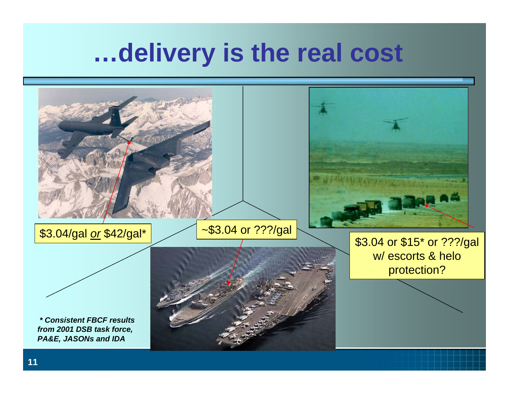## **…delivery is the real cost**

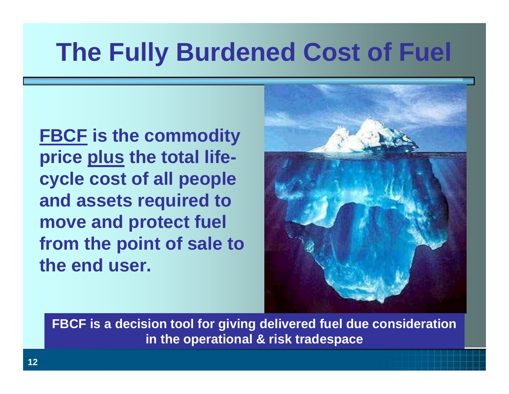# **The Fully Burdened Cost of Fuel**

**FBCF is the commodity price plus the total lifecycle cost of all people and assets required to move and protect fuel from the point of sale to the end user.**



**FBCF is a decision tool for giving delivered fuel due consideration in the operational & risk tradespace**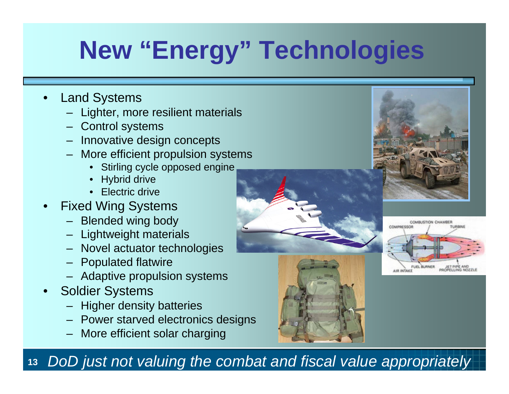# **New "Energy" Technologies**

- • Land Systems
	- Lighter, more resilient materials
	- Control systems
	- Innovative design concepts
	- More efficient propulsion systems
		- •Stirling cycle opposed engine
		- •Hybrid drive
		- •Electric drive
- • Fixed Wing Systems
	- Blended wing body
	- Lightweight materials
	- Novel actuator technologies
	- Populated flatwire
	- Adaptive propulsion systems
- • Soldier Systems
	- Higher density batteries
	- Power starved electronics designs
	- More efficient solar charging







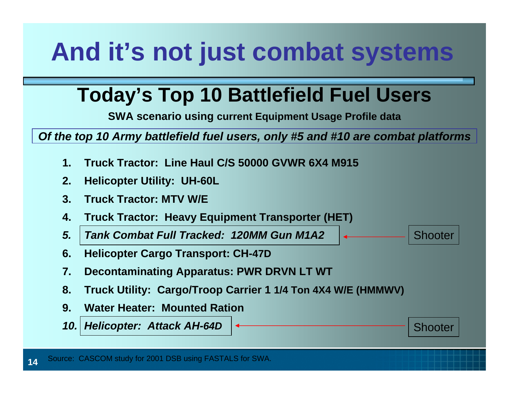# **And it's not just combat systems**

### **Today's Top 10 Battlefield Fuel Users**

**SWA scenario using current Equipment Usage Profile data**

*Of the top 10 Army battlefield fuel users, only #5 and #10 are combat platforms*

Shooter

Shooter

- **1.Truck Tractor: Line Haul C/S 50000 GVWR 6X4 M915**
- **2.Helicopter Utility: UH-60L**
- **3. Truck Tractor: MTV W/E**
- **4.Truck Tractor: Heavy Equipment Transporter (HET)**
- *5. Tank Combat Full Tracked: 120MM Gun M1A2*
- **6. Helicopter Cargo Transport: CH-47D**
- **7.Decontaminating Apparatus: PWR DRVN LT WT**
- **8. Truck Utility: Cargo/Troop Carrier 1 1/4 Ton 4X4 W/E (HMMWV)**
- **9. Water Heater: Mounted Ration**
- *10. Helicopter: Attack AH-64D*

**14**Source: CASCOM study for 2001 DSB using FASTALS for SWA.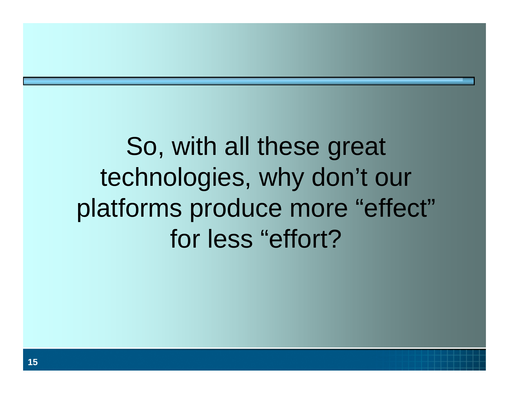# So, with all these great technologies, why don't our platforms produce more "effect" for less "effort?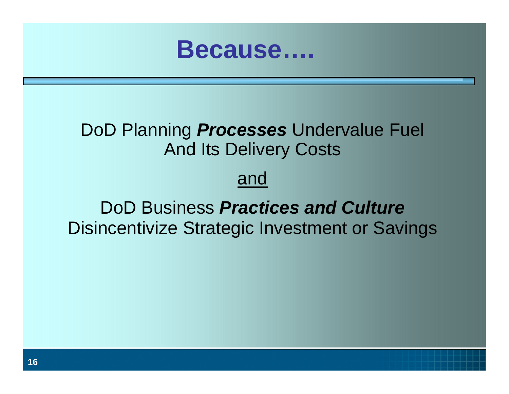

#### DoD Planning *Processes* Undervalue Fuel And Its Delivery Costs

#### and

### DoD Business *Practices and Culture*Disincentivize Strategic Investment or Savings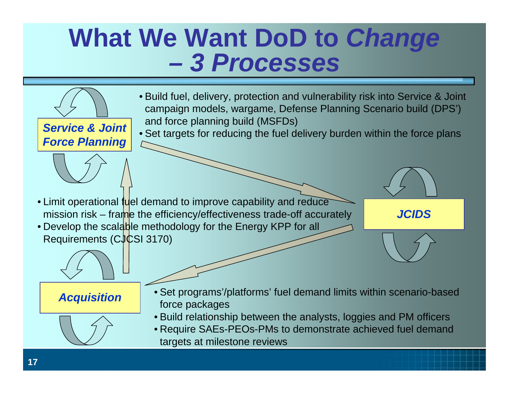## **What We Want DoD to** *Change 3 Processes*

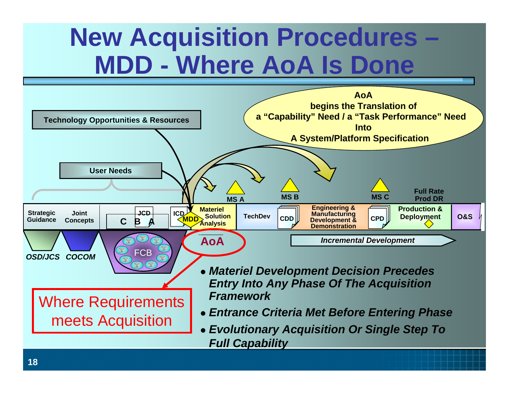## **New Acquisition Procedures – MDD - Where AoA Is Done**

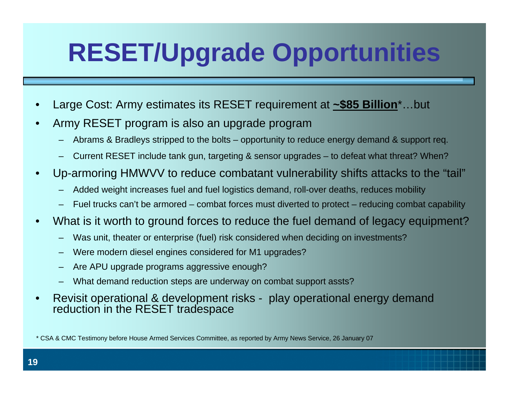# **RESET/Upgrade Opportunities**

- •Large Cost: Army estimates its RESET requirement at **~\$85 Billion**\*…but
- • Army RESET program is also an upgrade program
	- Abrams & Bradleys stripped to the bolts opportunity to reduce energy demand & support req.
	- –Current RESET include tank gun, targeting & sensor upgrades – to defeat what threat? When?
- • Up-armoring HMWVV to reduce combatant vulnerability shifts attacks to the "tail"
	- –Added weight increases fuel and fuel logistics demand, roll-over deaths, reduces mobility
	- Fuel trucks can't be armored combat forces must diverted to protect reducing combat capability
- • What is it worth to ground forces to reduce the fuel demand of legacy equipment?
	- Was unit, theater or enterprise (fuel) risk considered when deciding on investments?
	- Were modern diesel engines considered for M1 upgrades?
	- Are APU upgrade programs aggressive enough?
	- –What demand reduction steps are underway on combat support assts?
- • Revisit operational & development risks - play operational energy demand reduction in the RESET tradespace

\* CSA & CMC Testimony before House Armed Services Committee, as reported by Army News Service, 26 January 07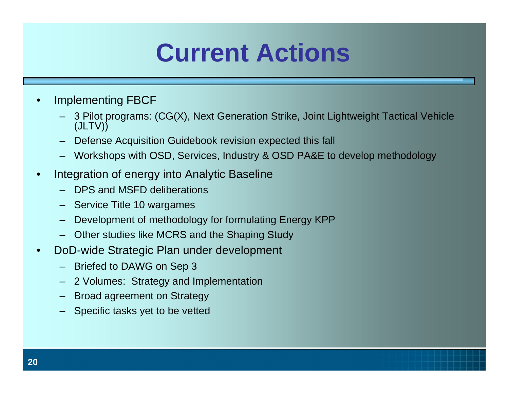## **Current Actions**

- • Implementing FBCF
	- 3 Pilot programs: (CG(X), Next Generation Strike, Joint Lightweight Tactical Vehicle (JLTV))
	- Defense Acquisition Guidebook revision expected this fall
	- Workshops with OSD, Services, Industry & OSD PA&E to develop methodology
- • Integration of energy into Analytic Baseline
	- DPS and MSFD deliberations
	- Service Title 10 wargames
	- Development of methodology for formulating Energy KPP
	- Other studies like MCRS and the Shaping Study
- • DoD-wide Strategic Plan under development
	- Briefed to DAWG on Sep 3
	- 2 Volumes: Strategy and Implementation
	- Broad agreement on Strategy
	- Specific tasks yet to be vetted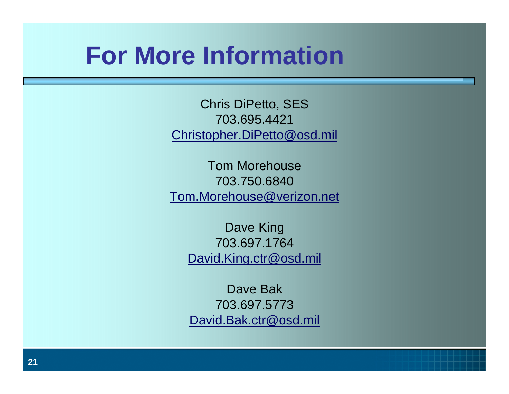## **For More Information**

Chris DiPetto, SES 703.695.4421[Christopher.DiPetto@osd.mil](mailto:Christopher.DiPetto@osd.mil)

Tom Morehouse703.750.6840[Tom.Morehouse@verizon.net](mailto:Tom.Morehouse@verizon.net)

Dave King 703.697.1764[David.King.ctr@osd.mil](mailto:David.King.ctr@osd.mil)

Dave Bak703.697.5773[David.Bak.ctr@osd.mil](mailto:David.Bak.ctr@osd.mil)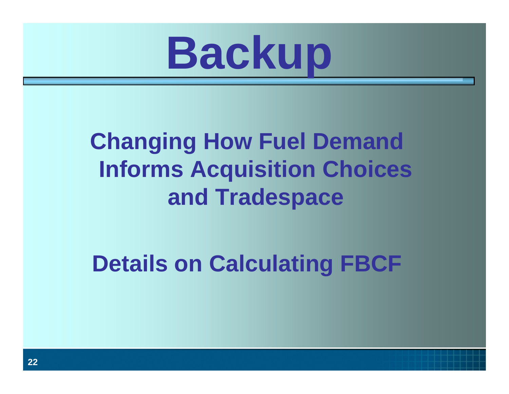

## **Changing How Fuel Demand Informs Acquisition Choices and Tradespace**

**Details on Calculating FBCF**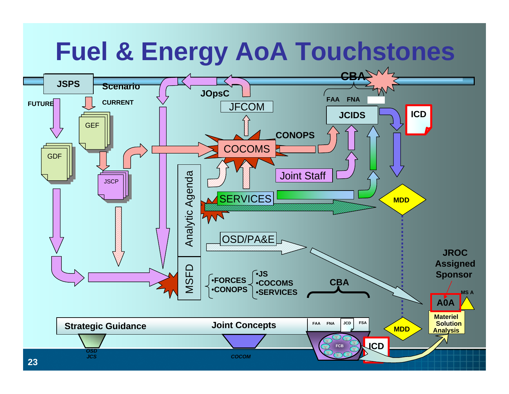## **Fuel & Energy AoA Touchstones**

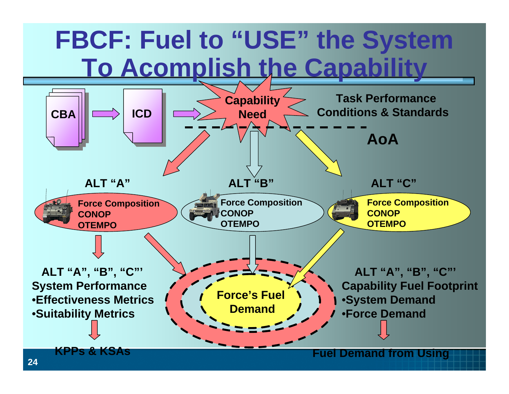## **FBCF: Fuel to "USE" the System To Acomplish the Capability**

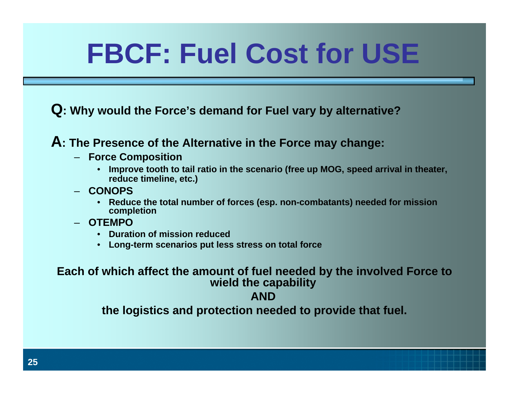# **FBCF: Fuel Cost for USE**

**Q: Why would the Force's demand for Fuel vary by alternative?** 

#### **A: The Presence of the Alternative in the Force may change:**

- **Force Composition**
	- **Improve tooth to tail ratio in the scenario (free up MOG, speed arrival in theater, reduce timeline, etc.)**
- **CONOPS**
	- **Reduce the total number of forces (esp. non-combatants) needed for mission completion**
- **OTEMPO**
	- **Duration of mission reduced**
	- **Long-term scenarios put less stress on total force**

**Each of which affect the amount of fuel needed by the involved Force to wield the capability**

#### **AND**

**the logistics and protection needed to provide that fuel.**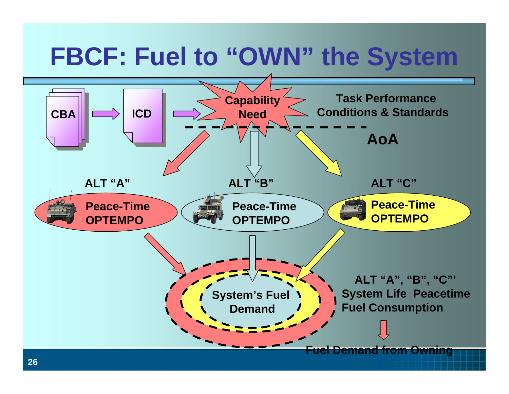# **FBCF: Fuel to "OWN" the System**

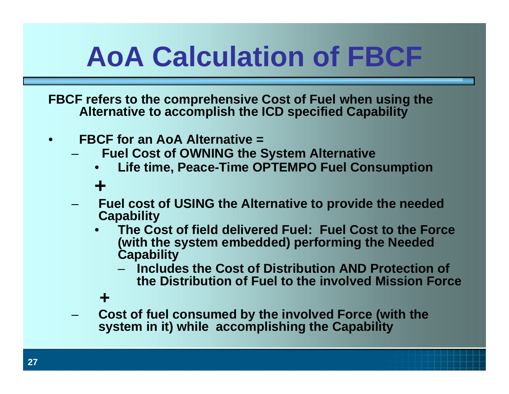# **AoA Calculation of FBCF**

**FBCF refers to the comprehensive Cost of Fuel when using the Alternative to accomplish the ICD specified Capability**

- $\bullet$  **FBCF for an AoA Alternative =**
	- **Fuel Cost of OWNING the System Alternative** 
		- •**Life time, Peace-Time OPTEMPO Fuel Consumption**

#### **+**

- **Fuel cost of USING the Alternative to provide the needed Capability**
	- • **The Cost of field delivered Fuel: Fuel Cost to the Force (with the system embedded) performing the Needed Capability** 
		- **Includes the Cost of Distribution AND Protection of the Distribution of Fuel to the involved Mission Force**

#### **+**

 **Cost of fuel consumed by the involved Force (with the system in it) while accomplishing the Capability**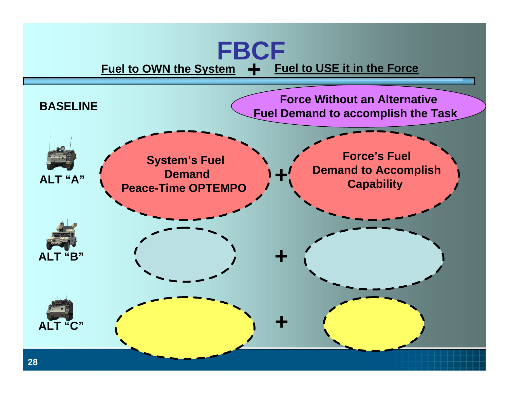